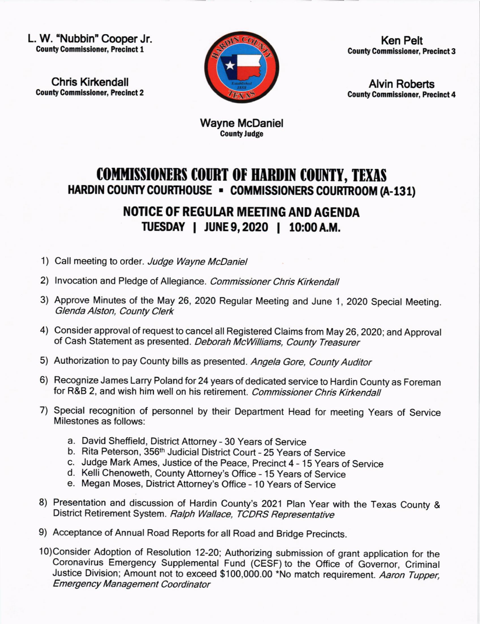L. W. "Nubbin' Cooper Jr. **County Commissioner, Precinct 1** 

Chris Kirkendal! **County Commissioner, Precinct 2** 



Ken Pelt **County Commissioner, Precinct 3** 

Alvin Roberts **County Commissioner, Precinct 4** 

Wayne McDaniel **County Judge** 

## **COMMISSIONERS COURT OF HARDIN COUNTY, TEXAS** HARDIN COUNTY COURTHOUSE - COMMISSIONERS COURTROOM (A-131)

## NOTICE OF REGULAR MEETING AND AGENDA IUESDAY I JUNE9,2020 I 10:00A.M.

- 1) Call meeting to order. Judge Wayne McDaniel
- 2) Invocation and Pledge of Allegiance. Commissioner Chris Kirkendall
- 3) Approve Minutes of the May 26, 2020 Regular Meeting and June 1, 2020 Special Meeting. Glenda Alston, County Clerk
- 4) Consider approval of request to cancel all Registered Claims from May 26,2020; and Approval of Cash Statement as presented. Deborah McWilliams, County Treasurer
- 5) Authorization to pay County bills as presented. Angela Gore, County Auditor
- 6) Recognize James Larry Poland for 24 years of dedicated service to Hardin County as Foreman for R&B 2, and wish him well on his retirement. Commissioner Chris Kirkendall
- 7) Special recognition of personnel by their Department Head for meeting Years of Service Milestones as follows:
	- a. David Sheffield, District Attorney 30 Years of Service
	- b. Rita Peterson, 356<sup>th</sup> Judicial District Court 25 Years of Service
	- c. Judge Mark Ames, Justice of the Peace, Precinct 4 15 Years of Service
	- d. Kelli Chenoweth, County Attorney's Office 15 Years of Service
	- Megan Moses, District Attorney's Office 10 Years of Service e
- 8) Presentation and discussion of Hardin County's 2021 Plan Year with the Texas County & District Retirement System. Ralph Wallace, TCDRS Representative
- 9) Acceptance of Annual Road Reports for all Road and Bridge Precincts.
- 1O)Consider Adoption of Resolution 12-2O; Authorizing submission of grant application for the Coronavirus Emergency Supplemental Fund (CESF) to the Office of Governor, Criminal Justice Division; Amount not to exceed \$100,000.00 \*No match requirement. Aaron Tupper, Emergency Management Coordinator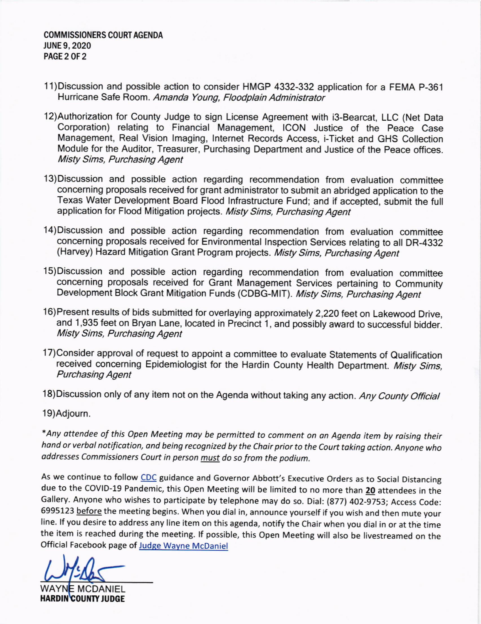- 11)Discussion and possible action to consider HMGP 4332-332 application for a FEMA P-361 Hurricane Safe Room. Amanda Young, Floodplain Administrator
- 12)Authorization for County Judge to sign License Agreement with i3-Bearcat, LLC (Net Data Corporation) relating to Financial Management, ICON Justice of the Peace Case Management, Real Vision lmaging, Internet Records Access, i-Ticket and GHS Collection Module for the Auditor, Treasurer, Purchasing Department and Justice of the Peace offices. Misty Sims, Purchasing Agent
- 13)Discussion and possible action regarding recommendation from evaluation committee concerning proposals received for grant administrator to submit an abridged application to the Texas Water Development Board Flood lnfrastructure Fund; and if accepted, submit the full application for Flood Mitigation projects. Misty Sims, Purchasing Agent
- 14)Discussion and possible action regarding recommendation from evaluation committee concerning proposals received for Environmental Inspection Services relating to all DR-4332 (Harvey) Hazard Mitigation Grant Program projects. Misty Sims, Purchasing Agent
- <sup>1</sup>5) Discussion and possible action regarding recommendation from evaluation committee concerning proposals received for Grant Management Services pertaining to Community Development Block Grant Mitigation Funds (CDBG-MIT). Misty Sims, Purchasing Agent
- 16)Present results of bids submitted for overlaying approximately 2,220 feet on Lakewood Drive, and 1,935 feet on Bryan Lane, located in Precinct 1, and possibly award to successful bidder. Misty Sims, Purchasing Agent
- 17)Consider approval of request to appoint a committee to evaluate Statements of Qualification received concerning Epidemiologist for the Hardin County Health Department. Misty Sims, Purchasing Agent
- 18) Discussion only of any item not on the Agenda without taking any action. Any County Official

19)Adjourn.

\*Any ottendee of this Open Meeting moy be permitted to comment on on Agendo item by roising their hand or verbal notification, and being recognized by the Chair prior to the Court taking action. Anyone who addresses Commissioners Court in person must do so from the podium.

As we continue to follow CDC guidance and Governor Abbott's Executive Orders as to Social Distancing due to the COVID-19 Pandemic, this Open Meeting will be limited to no more than 20 attendees in the Gallery. Anyone who wishes to participate by telephone may do so. Dial: (877) 402-9753; Access Code: 6995123 before the meeting begins. When you dial in, announce yourself if you wish and then mute your line. lf you desire to address any line item on this agenda, notify the Chair when you dial in or at the time the item is reached during the meeting. lf possible, this Open Meeting will also be livestreamed on the Official Facebook page of Judge Wayne McDaniel

t

**WAYNE MCDANIEL** HARDIN COUNTY JUDGE